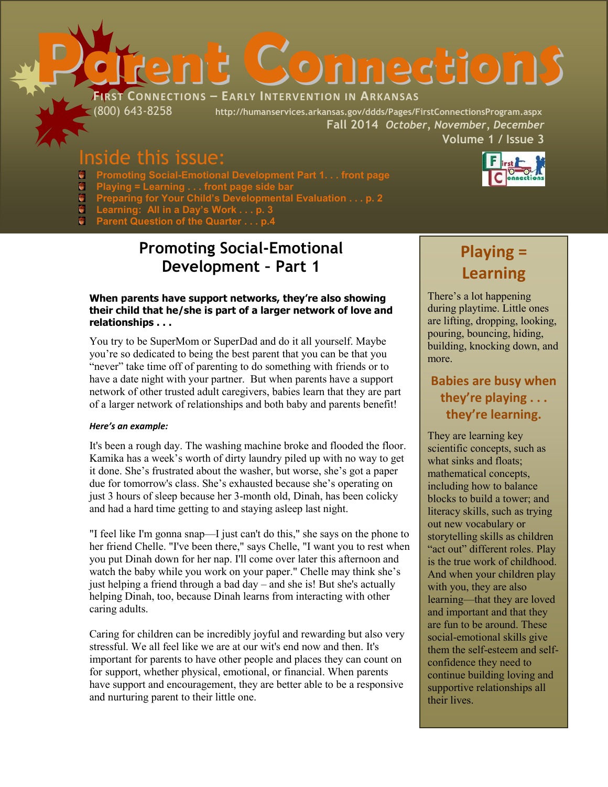

(800) 643-8258 **http://humanservices.arkansas.gov/ddds/Pages/FirstConnectionsProgram.aspx Fall 2014** *October, November, December*  **Volume 1 / Issue 3**

# Inside this issue:

- **Promoting Social-Emotional Development Part 1. . . front page**
- $\bullet$ **Playing = Learning . . . front page side bar**
- Ů **Preparing for Your Child's Developmental Evaluation . . . p. 2**
- a **Learning: All in a Day's Work . . . p. 3**
- e. **Parent Question of the Quarter . . . p.4**

### **Promoting Social-Emotional Development – Part 1**

### **When parents have support networks, they're also showing their child that he/she is part of a larger network of love and relationships . . .**

You try to be SuperMom or SuperDad and do it all yourself. Maybe you're so dedicated to being the best parent that you can be that you "never" take time off of parenting to do something with friends or to have a date night with your partner. But when parents have a support network of other trusted adult caregivers, babies learn that they are part of a larger network of relationships and both baby and parents benefit!

### *Here's an example:*

It's been a rough day. The washing machine broke and flooded the floor. Kamika has a week's worth of dirty laundry piled up with no way to get it done. She's frustrated about the washer, but worse, she's got a paper due for tomorrow's class. She's exhausted because she's operating on just 3 hours of sleep because her 3-month old, Dinah, has been colicky and had a hard time getting to and staying asleep last night.

"I feel like I'm gonna snap—I just can't do this," she says on the phone to her friend Chelle. "I've been there," says Chelle, "I want you to rest when you put Dinah down for her nap. I'll come over later this afternoon and watch the baby while you work on your paper." Chelle may think she's just helping a friend through a bad day – and she is! But she's actually helping Dinah, too, because Dinah learns from interacting with other caring adults.

Caring for children can be incredibly joyful and rewarding but also very stressful. We all feel like we are at our wit's end now and then. It's important for parents to have other people and places they can count on for support, whether physical, emotional, or financial. When parents have support and encouragement, they are better able to be a responsive and nurturing parent to their little one.

# **Playing = Learning**

There's a lot happening during playtime. Little ones are lifting, dropping, looking, pouring, bouncing, hiding, building, knocking down, and more.

### **Babies are busy when they're playing . . . they're learning.**

They are learning key scientific concepts, such as what sinks and floats; mathematical concepts, including how to balance blocks to build a tower; and literacy skills, such as trying out new vocabulary or storytelling skills as children "act out" different roles. Play is the true work of childhood. And when your children play with you, they are also learning—that they are loved and important and that they are fun to be around. These social-emotional skills give them the self-esteem and selfconfidence they need to continue building loving and supportive relationships all their lives.

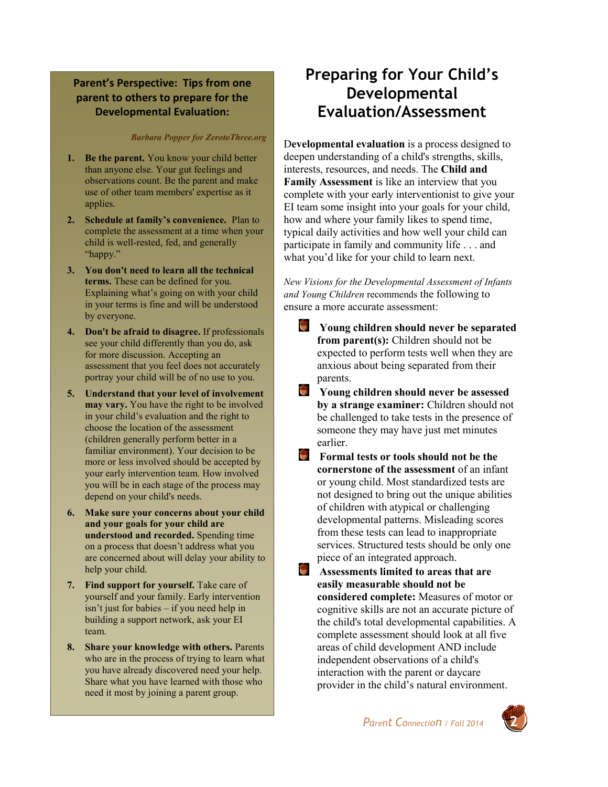### **Parent's Perspective: Tips from one parent to others to prepare for the Developmental Evaluation:**

#### *Barbara Popper for ZerotoThree.org*

- **1. Be the parent.** You know your child better than anyone else. Your gut feelings and observations count. Be the parent and make use of other team members' expertise as it applies.
- **2. Schedule at family's convenience.** Plan to complete the assessment at a time when your child is well-rested, fed, and generally "happy."
- **3. You don't need to learn all the technical terms.** These can be defined for you. Explaining what's going on with your child in your terms is fine and will be understood by everyone.
- **4. Don't be afraid to disagree.** If professionals see your child differently than you do, ask for more discussion. Accepting an assessment that you feel does not accurately portray your child will be of no use to you.
- **5. Understand that your level of involvement may vary.** You have the right to be involved in your child's evaluation and the right to choose the location of the assessment (children generally perform better in a familiar environment). Your decision to be more or less involved should be accepted by your early intervention team. How involved you will be in each stage of the process may depend on your child's needs.
- **6. Make sure your concerns about your child and your goals for your child are understood and recorded.** Spending time on a process that doesn't address what you are concerned about will delay your ability to help your child.
- **7. Find support for yourself.** Take care of yourself and your family. Early intervention isn't just for babies – if you need help in building a support network, ask your EI team.
- **8. Share your knowledge with others.** Parents who are in the process of trying to learn what you have already discovered need your help. Share what you have learned with those who need it most by joining a parent group.

## **Preparing for Your Child's Developmental Evaluation/Assessment**

D**evelopmental evaluation** is a process designed to deepen understanding of a child's strengths, skills, interests, resources, and needs. The **Child and Family Assessment** is like an interview that you complete with your early interventionist to give your EI team some insight into your goals for your child, how and where your family likes to spend time, typical daily activities and how well your child can participate in family and community life . . . and what you'd like for your child to learn next.

*New Visions for the Developmental Assessment of Infants and Young Children* recommends the following to ensure a more accurate assessment:

- 答 **Young children should never be separated from parent(s):** Children should not be expected to perform tests well when they are anxious about being separated from their parents.
- **Young children should never be assessed by a strange examiner:** Children should not be challenged to take tests in the presence of someone they may have just met minutes earlier.
- ٣ **Formal tests or tools should not be the cornerstone of the assessment** of an infant or young child. Most standardized tests are not designed to bring out the unique abilities of children with atypical or challenging developmental patterns. Misleading scores from these tests can lead to inappropriate services. Structured tests should be only one piece of an integrated approach.
- **Assessments limited to areas that are easily measurable should not be considered complete:** Measures of motor or cognitive skills are not an accurate picture of the child's total developmental capabilities. A complete assessment should look at all five areas of child development AND include independent observations of a child's interaction with the parent or daycare provider in the child's natural environment.

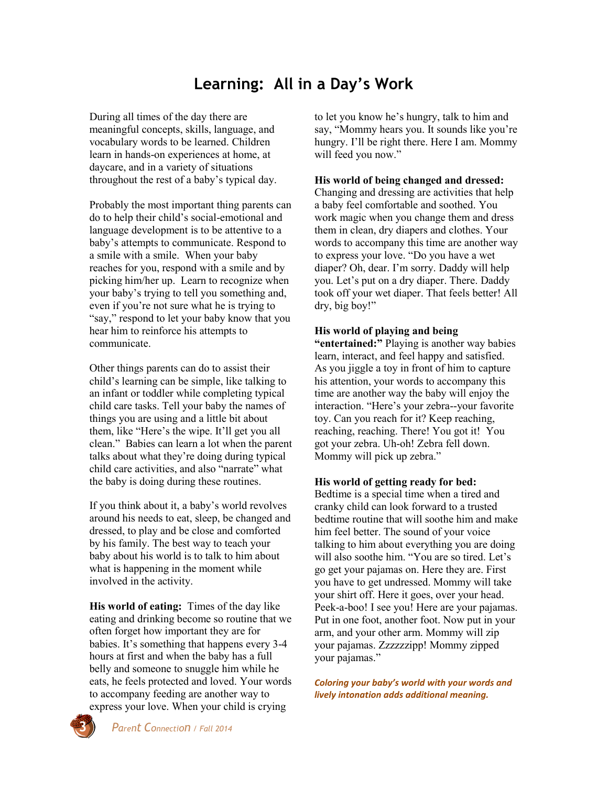## **Learning: All in a Day's Work**

During all times of the day there are meaningful concepts, skills, language, and vocabulary words to be learned. Children learn in hands-on experiences at home, at daycare, and in a variety of situations throughout the rest of a baby's typical day.

Probably the most important thing parents can do to help their child's social-emotional and language development is to be attentive to a baby's attempts to communicate. Respond to a smile with a smile. When your baby reaches for you, respond with a smile and by picking him/her up. Learn to recognize when your baby's trying to tell you something and, even if you're not sure what he is trying to "say," respond to let your baby know that you hear him to reinforce his attempts to communicate.

Other things parents can do to assist their child's learning can be simple, like talking to an infant or toddler while completing typical child care tasks. Tell your baby the names of things you are using and a little bit about them, like "Here's the wipe. It'll get you all clean." Babies can learn a lot when the parent talks about what they're doing during typical child care activities, and also "narrate" what the baby is doing during these routines.

If you think about it, a baby's world revolves around his needs to eat, sleep, be changed and dressed, to play and be close and comforted by his family. The best way to teach your baby about his world is to talk to him about what is happening in the moment while involved in the activity.

**His world of eating:** Times of the day like eating and drinking become so routine that we often forget how important they are for babies. It's something that happens every 3-4 hours at first and when the baby has a full belly and someone to snuggle him while he eats, he feels protected and loved. Your words to accompany feeding are another way to express your love. When your child is crying

to let you know he's hungry, talk to him and say, "Mommy hears you. It sounds like you're hungry. I'll be right there. Here I am. Mommy will feed you now."

### **His world of being changed and dressed:**

Changing and dressing are activities that help a baby feel comfortable and soothed. You work magic when you change them and dress them in clean, dry diapers and clothes. Your words to accompany this time are another way to express your love. "Do you have a wet diaper? Oh, dear. I'm sorry. Daddy will help you. Let's put on a dry diaper. There. Daddy took off your wet diaper. That feels better! All dry, big boy!"

#### **His world of playing and being**

**"entertained:"** Playing is another way babies learn, interact, and feel happy and satisfied. As you jiggle a toy in front of him to capture his attention, your words to accompany this time are another way the baby will enjoy the interaction. "Here's your zebra--your favorite toy. Can you reach for it? Keep reaching, reaching, reaching. There! You got it! You got your zebra. Uh-oh! Zebra fell down. Mommy will pick up zebra."

#### **His world of getting ready for bed:**

Bedtime is a special time when a tired and cranky child can look forward to a trusted bedtime routine that will soothe him and make him feel better. The sound of your voice talking to him about everything you are doing will also soothe him. "You are so tired. Let's go get your pajamas on. Here they are. First you have to get undressed. Mommy will take your shirt off. Here it goes, over your head. Peek-a-boo! I see you! Here are your pajamas. Put in one foot, another foot. Now put in your arm, and your other arm. Mommy will zip your pajamas. Zzzzzzipp! Mommy zipped your pajamas."

*Coloring your baby's world with your words and lively intonation adds additional meaning.*